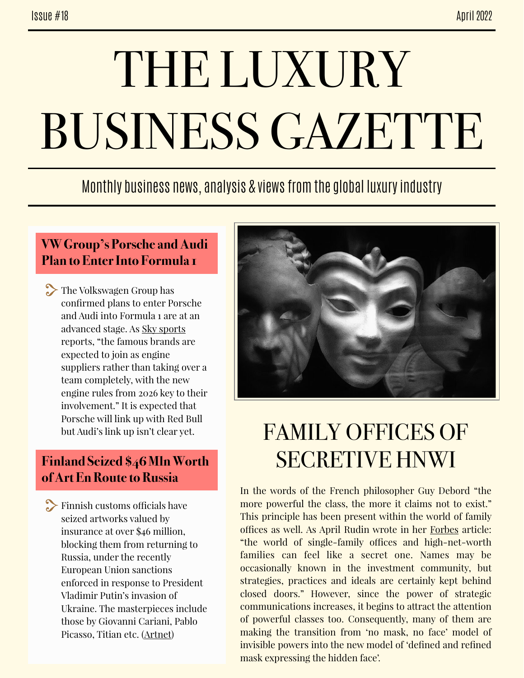# THE LUXURY BUSINESS GAZETTE

### Monthly business news, analysis & views from the global luxury industry

#### **VW Group's Porsche and Audi Plan to Enter Into Formula 1**

The Volkswagen Group has confirmed plans to enter Porsche and Audi into Formula 1 are at an advanced stage. As [Sky sports](https://www.skysports.com/amp/f1/news/12433/12584872/porsche-and-audi-poised-for-f1-entry-in-2026-as-lewis-hamilton-max-verstappen-hail-great-news) reports, "the famous brands are expected to join as engine suppliers rather than taking over a team completely, with the new engine rules from 2026 key to their involvement." It is expected that Porsche will link up with Red Bull but Audi's link up isn't clear yet.

#### **Finland Seized \$46 Mln Worth of Art En Route to Russia**

 $\sum$  Finnish customs officials have seized artworks valued by insurance at over \$46 million, blocking them from returning to Russia, under the recently European Union sanctions enforced in response to President Vladimir Putin's invasion of Ukraine. The masterpieces include those by Giovanni Cariani, Pablo Picasso, Titian etc. ([Artnet](https://news.artnet.com/art-world/finland-seizes-russian-art-under-sanctions-2095012/amp-page))



## FAMILY OFFICES OF SECRETIVE HNWI

In the words of the French philosopher Guy Debord "the more powerful the class, the more it claims not to exist." This principle has been present within the world of family offices as well. As April Rudin wrote in her [Forbes](http://www.forbes.com/sites/aprilrudin/2022/04/25/why-high-net-worth-investors-arent-flying-under-the-radar-anymore/amp/) article: "the world of single-family offices and high-net-worth families can feel like a secret one. Names may be occasionally known in the investment community, but strategies, practices and ideals are certainly kept behind closed doors." However, since the power of strategic communications increases, it begins to attract the attention of powerful classes too. Consequently, many of them are making the transition from 'no mask, no face' model of invisible powers into the new model of 'defined and refined mask expressing the hidden face'.